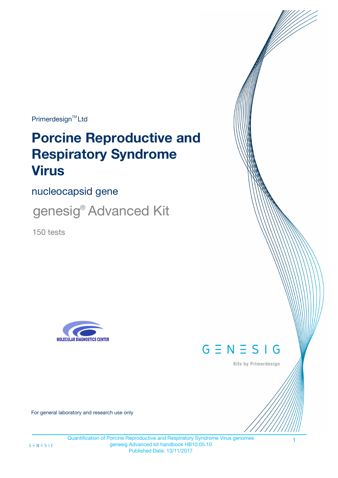Primerdesign<sup>™</sup>Ltd

# **Porcine Reproductive and Respiratory Syndrome Virus**

nucleocapsid gene

genesig® Advanced Kit

150 tests





Kits by Primerdesign

1

For general laboratory and research use only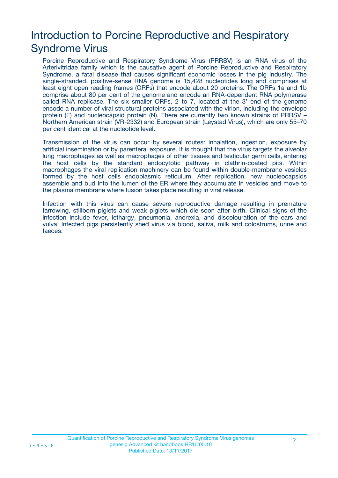# Introduction to Porcine Reproductive and Respiratory Syndrome Virus

Porcine Reproductive and Respiratory Syndrome Virus (PRRSV) is an RNA virus of the Arterivitridae family which is the causative agent of Porcine Reproductive and Respiratory Syndrome, a fatal disease that causes significant economic losses in the pig industry. The single-stranded, positive-sense RNA genome is 15,428 nucleotides long and comprises at least eight open reading frames (ORFs) that encode about 20 proteins. The ORFs 1a and 1b comprise about 80 per cent of the genome and encode an RNA-dependent RNA polymerase called RNA replicase. The six smaller ORFs, 2 to 7, located at the 3' end of the genome encode a number of viral structural proteins associated with the virion, including the envelope protein (E) and nucleocapsid protein (N). There are currently two known strains of PRRSV – Northern American strain (VR-2332) and European strain (Leystad Virus), which are only 55–70 per cent identical at the nucleotide level.

Transmission of the virus can occur by several routes: inhalation, ingestion, exposure by artificial insemination or by parenteral exposure. It is thought that the virus targets the alveolar lung macrophages as well as macrophages of other tissues and testicular germ cells, entering the host cells by the standard endocytotic pathway in clathrin-coated pits. Within macrophages the viral replication machinery can be found within double-membrane vesicles formed by the host cells endoplasmic reticulum. After replication, new nucleocapsids assemble and bud into the lumen of the ER where they accumulate in vesicles and move to the plasma membrane where fusion takes place resulting in viral release.

Infection with this virus can cause severe reproductive damage resulting in premature farrowing, stillborn piglets and weak piglets which die soon after birth. Clinical signs of the infection include fever, lethargy, pneumonia, anorexia, and discolouration of the ears and vulva. Infected pigs persistently shed virus via blood, saliva, milk and colostrums, urine and faeces.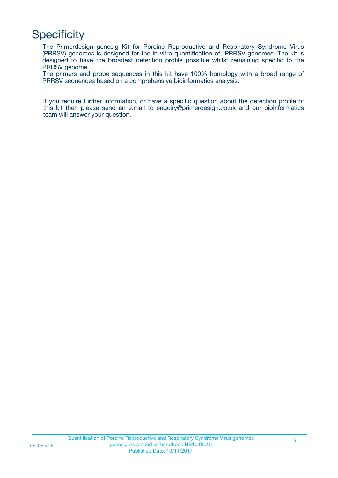# **Specificity**

The Primerdesign genesig Kit for Porcine Reproductive and Respiratory Syndrome Virus (PRRSV) genomes is designed for the in vitro quantification of PRRSV genomes. The kit is designed to have the broadest detection profile possible whilst remaining specific to the PRRSV genome.

The primers and probe sequences in this kit have 100% homology with a broad range of PRRSV sequences based on a comprehensive bioinformatics analysis.

If you require further information, or have a specific question about the detection profile of this kit then please send an e.mail to enquiry@primerdesign.co.uk and our bioinformatics team will answer your question.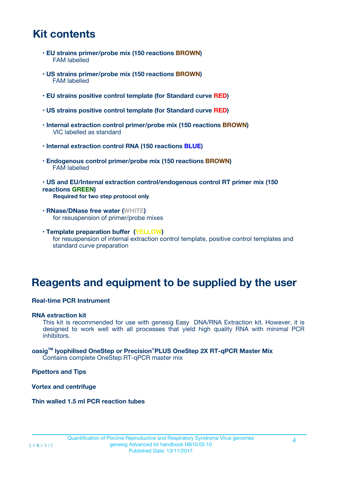# **Kit contents**

- **EU strains primer/probe mix (150 reactions BROWN)** FAM labelled
- **US strains primer/probe mix (150 reactions BROWN)** FAM labelled
- **EU strains positive control template (for Standard curve RED)**
- **US strains positive control template (for Standard curve RED)**
- **Internal extraction control primer/probe mix (150 reactions BROWN)** VIC labelled as standard
- **Internal extraction control RNA (150 reactions BLUE)**
- **Endogenous control primer/probe mix (150 reactions BROWN)** FAM labelled
- **US and EU/Internal extraction control/endogenous control RT primer mix (150 reactions GREEN) Required for two step protocol only**
- **RNase/DNase free water (WHITE)** for resuspension of primer/probe mixes
- **Template preparation buffer (YELLOW)** for resuspension of internal extraction control template, positive control templates and standard curve preparation

## **Reagents and equipment to be supplied by the user**

#### **Real-time PCR Instrument**

#### **RNA extraction kit**

This kit is recommended for use with genesig Easy DNA/RNA Extraction kit. However, it is designed to work well with all processes that yield high quality RNA with minimal PCR inhibitors.

**oasigTM lyophilised OneStep or Precision**®**PLUS OneStep 2X RT-qPCR Master Mix** Contains complete OneStep RT-qPCR master mix

#### **Pipettors and Tips**

#### **Vortex and centrifuge**

#### **Thin walled 1.5 ml PCR reaction tubes**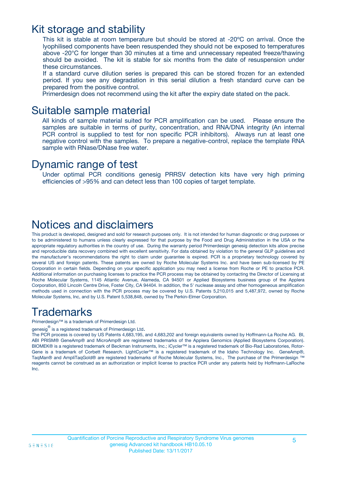### Kit storage and stability

This kit is stable at room temperature but should be stored at -20ºC on arrival. Once the lyophilised components have been resuspended they should not be exposed to temperatures above -20°C for longer than 30 minutes at a time and unnecessary repeated freeze/thawing should be avoided. The kit is stable for six months from the date of resuspension under these circumstances.

If a standard curve dilution series is prepared this can be stored frozen for an extended period. If you see any degradation in this serial dilution a fresh standard curve can be prepared from the positive control.

Primerdesign does not recommend using the kit after the expiry date stated on the pack.

### Suitable sample material

All kinds of sample material suited for PCR amplification can be used. Please ensure the samples are suitable in terms of purity, concentration, and RNA/DNA integrity (An internal PCR control is supplied to test for non specific PCR inhibitors). Always run at least one negative control with the samples. To prepare a negative-control, replace the template RNA sample with RNase/DNase free water.

### Dynamic range of test

Under optimal PCR conditions genesig PRRSV detection kits have very high priming efficiencies of >95% and can detect less than 100 copies of target template.

### Notices and disclaimers

This product is developed, designed and sold for research purposes only. It is not intended for human diagnostic or drug purposes or to be administered to humans unless clearly expressed for that purpose by the Food and Drug Administration in the USA or the appropriate regulatory authorities in the country of use. During the warranty period Primerdesign genesig detection kits allow precise and reproducible data recovery combined with excellent sensitivity. For data obtained by violation to the general GLP guidelines and the manufacturer's recommendations the right to claim under guarantee is expired. PCR is a proprietary technology covered by several US and foreign patents. These patents are owned by Roche Molecular Systems Inc. and have been sub-licensed by PE Corporation in certain fields. Depending on your specific application you may need a license from Roche or PE to practice PCR. Additional information on purchasing licenses to practice the PCR process may be obtained by contacting the Director of Licensing at Roche Molecular Systems, 1145 Atlantic Avenue, Alameda, CA 94501 or Applied Biosystems business group of the Applera Corporation, 850 Lincoln Centre Drive, Foster City, CA 94404. In addition, the 5' nuclease assay and other homogeneous amplification methods used in connection with the PCR process may be covered by U.S. Patents 5,210,015 and 5,487,972, owned by Roche Molecular Systems, Inc, and by U.S. Patent 5,538,848, owned by The Perkin-Elmer Corporation.

# **Trademarks**

Primerdesign™ is a trademark of Primerdesign Ltd.

genesig $^\circledR$  is a registered trademark of Primerdesign Ltd.

The PCR process is covered by US Patents 4,683,195, and 4,683,202 and foreign equivalents owned by Hoffmann-La Roche AG. BI, ABI PRISM® GeneAmp® and MicroAmp® are registered trademarks of the Applera Genomics (Applied Biosystems Corporation). BIOMEK® is a registered trademark of Beckman Instruments, Inc.; iCycler™ is a registered trademark of Bio-Rad Laboratories, Rotor-Gene is a trademark of Corbett Research. LightCycler™ is a registered trademark of the Idaho Technology Inc. GeneAmp®, TaqMan® and AmpliTaqGold® are registered trademarks of Roche Molecular Systems, Inc., The purchase of the Primerdesign ™ reagents cannot be construed as an authorization or implicit license to practice PCR under any patents held by Hoffmann-LaRoche Inc.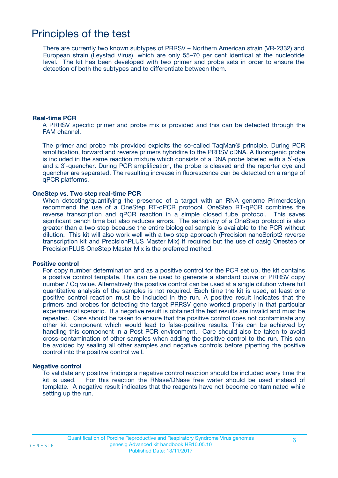### Principles of the test

There are currently two known subtypes of PRRSV – Northern American strain (VR-2332) and European strain (Leystad Virus), which are only 55–70 per cent identical at the nucleotide level. The kit has been developed with two primer and probe sets in order to ensure the detection of both the subtypes and to differentiate between them.

#### **Real-time PCR**

A PRRSV specific primer and probe mix is provided and this can be detected through the FAM channel.

The primer and probe mix provided exploits the so-called TaqMan® principle. During PCR amplification, forward and reverse primers hybridize to the PRRSV cDNA. A fluorogenic probe is included in the same reaction mixture which consists of a DNA probe labeled with a 5`-dye and a 3`-quencher. During PCR amplification, the probe is cleaved and the reporter dye and quencher are separated. The resulting increase in fluorescence can be detected on a range of qPCR platforms.

#### **OneStep vs. Two step real-time PCR**

When detecting/quantifying the presence of a target with an RNA genome Primerdesign recommend the use of a OneStep RT-qPCR protocol. OneStep RT-qPCR combines the reverse transcription and qPCR reaction in a simple closed tube protocol. This saves significant bench time but also reduces errors. The sensitivity of a OneStep protocol is also greater than a two step because the entire biological sample is available to the PCR without dilution. This kit will also work well with a two step approach (Precision nanoScript2 reverse transcription kit and PrecisionPLUS Master Mix) if required but the use of oasig Onestep or PrecisionPLUS OneStep Master Mix is the preferred method.

#### **Positive control**

For copy number determination and as a positive control for the PCR set up, the kit contains a positive control template. This can be used to generate a standard curve of PRRSV copy number / Cq value. Alternatively the positive control can be used at a single dilution where full quantitative analysis of the samples is not required. Each time the kit is used, at least one positive control reaction must be included in the run. A positive result indicates that the primers and probes for detecting the target PRRSV gene worked properly in that particular experimental scenario. If a negative result is obtained the test results are invalid and must be repeated. Care should be taken to ensure that the positive control does not contaminate any other kit component which would lead to false-positive results. This can be achieved by handling this component in a Post PCR environment. Care should also be taken to avoid cross-contamination of other samples when adding the positive control to the run. This can be avoided by sealing all other samples and negative controls before pipetting the positive control into the positive control well.

#### **Negative control**

To validate any positive findings a negative control reaction should be included every time the kit is used. For this reaction the RNase/DNase free water should be used instead of template. A negative result indicates that the reagents have not become contaminated while setting up the run.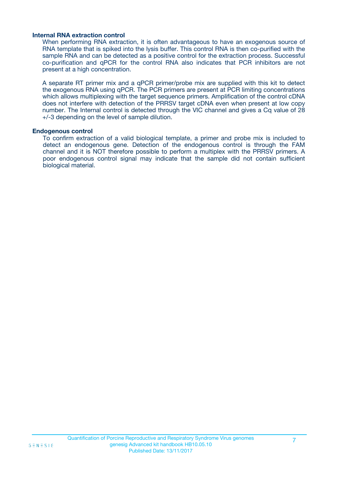#### **Internal RNA extraction control**

When performing RNA extraction, it is often advantageous to have an exogenous source of RNA template that is spiked into the lysis buffer. This control RNA is then co-purified with the sample RNA and can be detected as a positive control for the extraction process. Successful co-purification and qPCR for the control RNA also indicates that PCR inhibitors are not present at a high concentration.

A separate RT primer mix and a qPCR primer/probe mix are supplied with this kit to detect the exogenous RNA using qPCR. The PCR primers are present at PCR limiting concentrations which allows multiplexing with the target sequence primers. Amplification of the control cDNA does not interfere with detection of the PRRSV target cDNA even when present at low copy number. The Internal control is detected through the VIC channel and gives a Cq value of 28 +/-3 depending on the level of sample dilution.

#### **Endogenous control**

To confirm extraction of a valid biological template, a primer and probe mix is included to detect an endogenous gene. Detection of the endogenous control is through the FAM channel and it is NOT therefore possible to perform a multiplex with the PRRSV primers. A poor endogenous control signal may indicate that the sample did not contain sufficient biological material.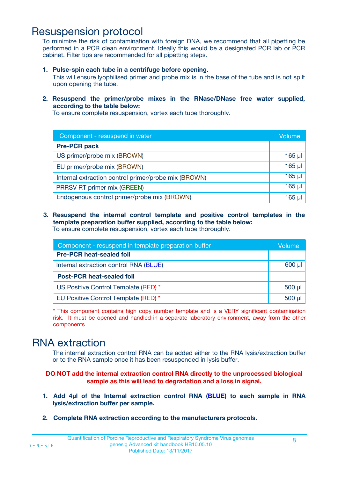### Resuspension protocol

To minimize the risk of contamination with foreign DNA, we recommend that all pipetting be performed in a PCR clean environment. Ideally this would be a designated PCR lab or PCR cabinet. Filter tips are recommended for all pipetting steps.

#### **1. Pulse-spin each tube in a centrifuge before opening.**

This will ensure lyophilised primer and probe mix is in the base of the tube and is not spilt upon opening the tube.

#### **2. Resuspend the primer/probe mixes in the RNase/DNase free water supplied, according to the table below:**

To ensure complete resuspension, vortex each tube thoroughly.

| Component - resuspend in water                       |        |  |
|------------------------------------------------------|--------|--|
| <b>Pre-PCR pack</b>                                  |        |  |
| US primer/probe mix (BROWN)                          | 165 µl |  |
| EU primer/probe mix (BROWN)                          | 165 µl |  |
| Internal extraction control primer/probe mix (BROWN) | 165 µl |  |
| PRRSV RT primer mix (GREEN)                          | 165 µl |  |
| Endogenous control primer/probe mix (BROWN)          | 165 µl |  |

#### **3. Resuspend the internal control template and positive control templates in the template preparation buffer supplied, according to the table below:**

To ensure complete resuspension, vortex each tube thoroughly.

| Component - resuspend in template preparation buffer |             |  |
|------------------------------------------------------|-------------|--|
| <b>Pre-PCR heat-sealed foil</b>                      |             |  |
| Internal extraction control RNA (BLUE)               |             |  |
| <b>Post-PCR heat-sealed foil</b>                     |             |  |
| US Positive Control Template (RED) *                 | $500$ $\mu$ |  |
| EU Positive Control Template (RED) *                 | $500$ $\mu$ |  |

\* This component contains high copy number template and is a VERY significant contamination risk. It must be opened and handled in a separate laboratory environment, away from the other components.

### RNA extraction

The internal extraction control RNA can be added either to the RNA lysis/extraction buffer or to the RNA sample once it has been resuspended in lysis buffer.

#### **DO NOT add the internal extraction control RNA directly to the unprocessed biological sample as this will lead to degradation and a loss in signal.**

- **1. Add 4µl of the Internal extraction control RNA (BLUE) to each sample in RNA lysis/extraction buffer per sample.**
- **2. Complete RNA extraction according to the manufacturers protocols.**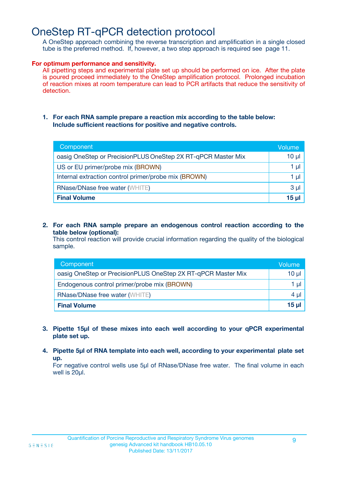# OneStep RT-qPCR detection protocol

A OneStep approach combining the reverse transcription and amplification in a single closed tube is the preferred method. If, however, a two step approach is required see page 11.

#### **For optimum performance and sensitivity.**

All pipetting steps and experimental plate set up should be performed on ice. After the plate is poured proceed immediately to the OneStep amplification protocol. Prolonged incubation of reaction mixes at room temperature can lead to PCR artifacts that reduce the sensitivity of detection.

**1. For each RNA sample prepare a reaction mix according to the table below: Include sufficient reactions for positive and negative controls.**

| Component                                                    | Volume         |
|--------------------------------------------------------------|----------------|
| oasig OneStep or PrecisionPLUS OneStep 2X RT-qPCR Master Mix | $10 \mu$       |
| US or EU primer/probe mix (BROWN)                            | 1 µl           |
| Internal extraction control primer/probe mix (BROWN)         | 1 µl           |
| <b>RNase/DNase free water (WHITE)</b>                        | 3 <sub>µ</sub> |
| <b>Final Volume</b>                                          | $15$ µ         |

**2. For each RNA sample prepare an endogenous control reaction according to the table below (optional):**

This control reaction will provide crucial information regarding the quality of the biological sample.

| Component                                                    | Volume   |
|--------------------------------------------------------------|----------|
| oasig OneStep or PrecisionPLUS OneStep 2X RT-qPCR Master Mix | $10 \mu$ |
| Endogenous control primer/probe mix (BROWN)                  | 1 µl     |
| <b>RNase/DNase free water (WHITE)</b>                        | $4 \mu$  |
| <b>Final Volume</b>                                          | $15 \mu$ |

- **3. Pipette 15µl of these mixes into each well according to your qPCR experimental plate set up.**
- **4. Pipette 5µl of RNA template into each well, according to your experimental plate set up.**

For negative control wells use 5µl of RNase/DNase free water. The final volume in each well is 20µl.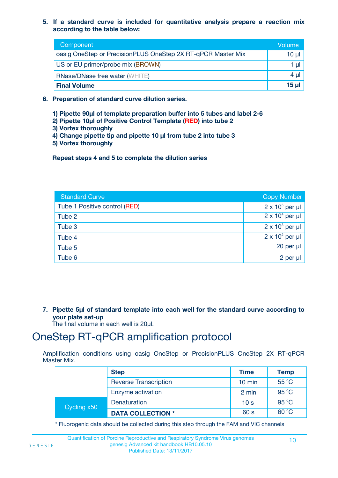**5. If a standard curve is included for quantitative analysis prepare a reaction mix according to the table below:**

| Component                                                    | Volume         |
|--------------------------------------------------------------|----------------|
| oasig OneStep or PrecisionPLUS OneStep 2X RT-qPCR Master Mix | $10 \mu$       |
| US or EU primer/probe mix (BROWN)                            | 1 $\mu$        |
| <b>RNase/DNase free water (WHITE)</b>                        | $4 \mu$        |
| <b>Final Volume</b>                                          | $15$ µ $\vert$ |

- **6. Preparation of standard curve dilution series.**
	- **1) Pipette 90µl of template preparation buffer into 5 tubes and label 2-6**
	- **2) Pipette 10µl of Positive Control Template (RED) into tube 2**
	- **3) Vortex thoroughly**
	- **4) Change pipette tip and pipette 10 µl from tube 2 into tube 3**
	- **5) Vortex thoroughly**

**Repeat steps 4 and 5 to complete the dilution series**

| <b>Standard Curve</b>         | Copy Number            |
|-------------------------------|------------------------|
| Tube 1 Positive control (RED) | $2 \times 10^5$ per µl |
| Tube 2                        | $2 \times 10^4$ per µl |
| Tube 3                        | $2 \times 10^3$ per µl |
| Tube 4                        | $2 \times 10^2$ per µl |
| Tube 5                        | 20 per µl              |
| Tube 6                        | $2$ per $\mu$          |

**7. Pipette 5µl of standard template into each well for the standard curve according to your plate set-up**

The final volume in each well is 20µl.

### OneStep RT-qPCR amplification protocol

Amplification conditions using oasig OneStep or PrecisionPLUS OneStep 2X RT-qPCR Master Mix.

|             | <b>Step</b>                  | <b>Time</b>      | <b>Temp</b>    |
|-------------|------------------------------|------------------|----------------|
|             | <b>Reverse Transcription</b> | $10 \text{ min}$ | 55 °C          |
|             | Enzyme activation            | 2 min            | 95 °C          |
| Cycling x50 | Denaturation                 | 10 <sub>s</sub>  | $95^{\circ}$ C |
|             | <b>DATA COLLECTION *</b>     | 60 s             | 60 °C          |

\* Fluorogenic data should be collected during this step through the FAM and VIC channels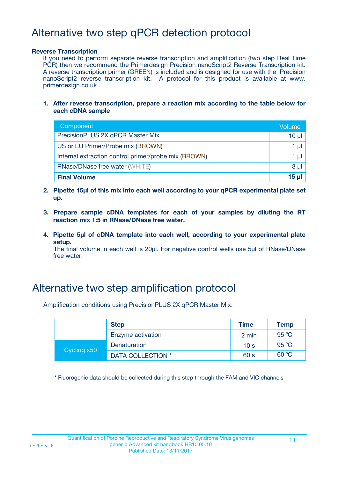# Alternative two step qPCR detection protocol

#### **Reverse Transcription**

If you need to perform separate reverse transcription and amplification (two step Real Time PCR) then we recommend the Primerdesign Precision nanoScript2 Reverse Transcription kit. A reverse transcription primer (GREEN) is included and is designed for use with the Precision nanoScript2 reverse transcription kit. A protocol for this product is available at www. primerdesign.co.uk

**1. After reverse transcription, prepare a reaction mix according to the table below for each cDNA sample**

| Component                                            | Volume         |
|------------------------------------------------------|----------------|
| PrecisionPLUS 2X qPCR Master Mix                     | 10 µl          |
| US or EU Primer/Probe mix (BROWN)                    | 1 µI           |
| Internal extraction control primer/probe mix (BROWN) | 1 µI           |
| <b>RNase/DNase free water (WHITE)</b>                | 3 <sub>µ</sub> |
| <b>Final Volume</b>                                  | 15 ul          |

- **2. Pipette 15µl of this mix into each well according to your qPCR experimental plate set up.**
- **3. Prepare sample cDNA templates for each of your samples by diluting the RT reaction mix 1:5 in RNase/DNase free water.**
- **4. Pipette 5µl of cDNA template into each well, according to your experimental plate setup.**

The final volume in each well is 20µl. For negative control wells use 5µl of RNase/DNase free water.

### Alternative two step amplification protocol

Amplification conditions using PrecisionPLUS 2X qPCR Master Mix.

|             | <b>Step</b>       | <b>Time</b>     | <b>Temp</b> |
|-------------|-------------------|-----------------|-------------|
|             | Enzyme activation | 2 min           | 95 °C       |
| Cycling x50 | Denaturation      | 10 <sub>s</sub> | 95 °C       |
|             | DATA COLLECTION * | 60 s            | 60 °C       |

\* Fluorogenic data should be collected during this step through the FAM and VIC channels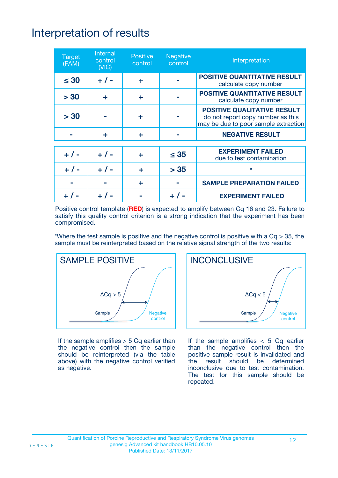# Interpretation of results

| <b>Target</b><br>(FAM) | Internal<br>control<br>(NIC) | <b>Positive</b><br>control | <b>Negative</b><br>control | Interpretation                                                                                                  |
|------------------------|------------------------------|----------------------------|----------------------------|-----------------------------------------------------------------------------------------------------------------|
| $\leq 30$              | $+ 1 -$                      | ÷                          |                            | <b>POSITIVE QUANTITATIVE RESULT</b><br>calculate copy number                                                    |
| > 30                   | ٠                            | ÷                          |                            | <b>POSITIVE QUANTITATIVE RESULT</b><br>calculate copy number                                                    |
| > 30                   |                              | ÷                          |                            | <b>POSITIVE QUALITATIVE RESULT</b><br>do not report copy number as this<br>may be due to poor sample extraction |
|                        | ÷                            | ÷                          |                            | <b>NEGATIVE RESULT</b>                                                                                          |
| $+$ / -                | $+ 1 -$                      | ÷                          | $\leq$ 35                  | <b>EXPERIMENT FAILED</b><br>due to test contamination                                                           |
|                        | $+ 1 -$                      |                            | > 35                       | $\star$                                                                                                         |
|                        |                              | ÷                          |                            | <b>SAMPLE PREPARATION FAILED</b>                                                                                |
|                        |                              |                            |                            | <b>EXPERIMENT FAILED</b>                                                                                        |

Positive control template (**RED**) is expected to amplify between Cq 16 and 23. Failure to satisfy this quality control criterion is a strong indication that the experiment has been compromised.

\*Where the test sample is positive and the negative control is positive with a  $Cq > 35$ , the sample must be reinterpreted based on the relative signal strength of the two results:



If the sample amplifies  $> 5$  Cq earlier than the negative control then the sample should be reinterpreted (via the table above) with the negative control verified as negative.



If the sample amplifies  $<$  5 Cq earlier than the negative control then the positive sample result is invalidated and the result should be determined inconclusive due to test contamination. The test for this sample should be repeated.